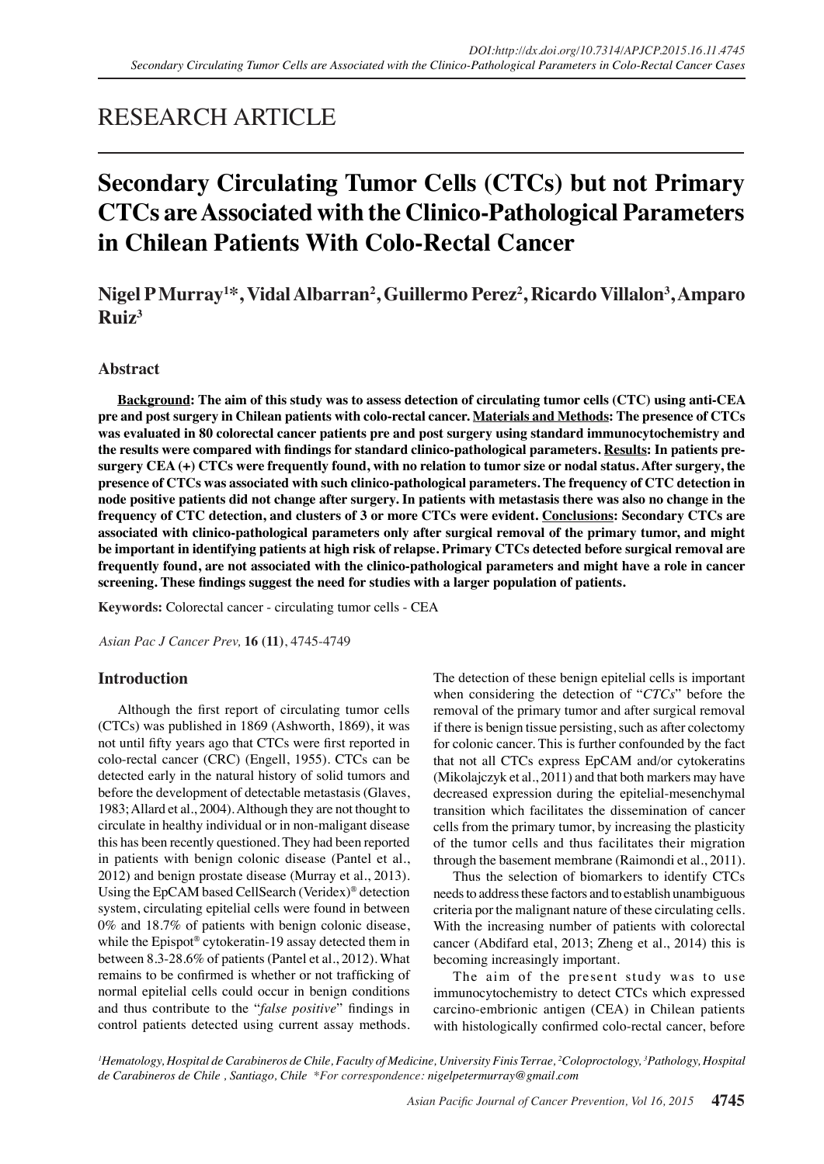## RESEARCH ARTICLE

# **Secondary Circulating Tumor Cells (CTCs) but not Primary CTCs are Associated with the Clinico-Pathological Parameters in Chilean Patients With Colo-Rectal Cancer**

## **Nigel P Murray1 \*, Vidal Albarran2 , Guillermo Perez2 , Ricardo Villalon3 , Amparo**   $\mathbf{R}$ uiz<sup>3</sup>

## **Abstract**

**Background: The aim of this study was to assess detection of circulating tumor cells (CTC) using anti-CEA pre and post surgery in Chilean patients with colo-rectal cancer. Materials and Methods: The presence of CTCs was evaluated in 80 colorectal cancer patients pre and post surgery using standard immunocytochemistry and the results were compared with findings for standard clinico-pathological parameters. Results: In patients presurgery CEA (+) CTCs were frequently found, with no relation to tumor size or nodal status. After surgery, the presence of CTCs was associated with such clinico-pathological parameters. The frequency of CTC detection in node positive patients did not change after surgery. In patients with metastasis there was also no change in the frequency of CTC detection, and clusters of 3 or more CTCs were evident. Conclusions: Secondary CTCs are associated with clinico-pathological parameters only after surgical removal of the primary tumor, and might be important in identifying patients at high risk of relapse. Primary CTCs detected before surgical removal are frequently found, are not associated with the clinico-pathological parameters and might have a role in cancer screening. These findings suggest the need for studies with a larger population of patients.**

**Keywords:** Colorectal cancer - circulating tumor cells - CEA

*Asian Pac J Cancer Prev,* **16 (11)**, 4745-4749

## **Introduction**

Although the first report of circulating tumor cells (CTCs) was published in 1869 (Ashworth, 1869), it was not until fifty years ago that CTCs were first reported in colo-rectal cancer (CRC) (Engell, 1955). CTCs can be detected early in the natural history of solid tumors and before the development of detectable metastasis (Glaves, 1983; Allard et al., 2004). Although they are not thought to circulate in healthy individual or in non-maligant disease this has been recently questioned. They had been reported in patients with benign colonic disease (Pantel et al., 2012) and benign prostate disease (Murray et al., 2013). Using the EpCAM based CellSearch (Veridex)® detection system, circulating epitelial cells were found in between 0% and 18.7% of patients with benign colonic disease, while the Epispot<sup>®</sup> cytokeratin-19 assay detected them in between 8.3-28.6% of patients (Pantel et al., 2012). What remains to be confirmed is whether or not trafficking of normal epitelial cells could occur in benign conditions and thus contribute to the "*false positive*" findings in control patients detected using current assay methods. The detection of these benign epitelial cells is important when considering the detection of "*CTCs*" before the removal of the primary tumor and after surgical removal if there is benign tissue persisting, such as after colectomy for colonic cancer. This is further confounded by the fact that not all CTCs express EpCAM and/or cytokeratins (Mikolajczyk et al., 2011) and that both markers may have decreased expression during the epitelial-mesenchymal transition which facilitates the dissemination of cancer cells from the primary tumor, by increasing the plasticity of the tumor cells and thus facilitates their migration through the basement membrane (Raimondi et al., 2011).

Thus the selection of biomarkers to identify CTCs needs to address these factors and to establish unambiguous criteria por the malignant nature of these circulating cells. With the increasing number of patients with colorectal cancer (Abdifard etal, 2013; Zheng et al., 2014) this is becoming increasingly important.

The aim of the present study was to use immunocytochemistry to detect CTCs which expressed carcino-embrionic antigen (CEA) in Chilean patients with histologically confirmed colo-rectal cancer, before

*1 Hematology, Hospital de Carabineros de Chile, Faculty of Medicine, University Finis Terrae, 2 Coloproctology, 3 Pathology, Hospital de Carabineros de Chile , Santiago, Chile \*For correspondence: nigelpetermurray@gmail.com*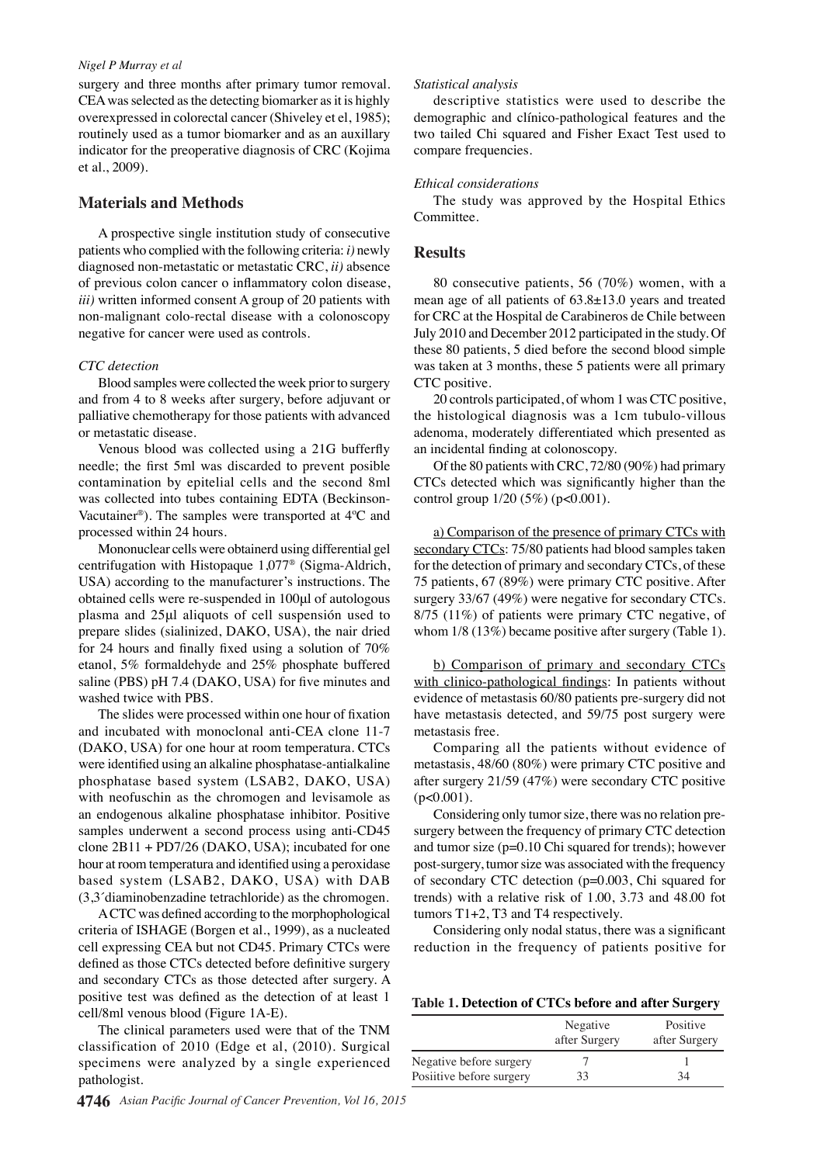#### *Nigel P Murray et al*

surgery and three months after primary tumor removal. CEA was selected as the detecting biomarker as it is highly overexpressed in colorectal cancer (Shiveley et el, 1985); routinely used as a tumor biomarker and as an auxillary indicator for the preoperative diagnosis of CRC (Kojima et al., 2009).

### **Materials and Methods**

A prospective single institution study of consecutive patients who complied with the following criteria: *i)* newly diagnosed non-metastatic or metastatic CRC, *ii)* absence of previous colon cancer o inflammatory colon disease, *iii)* written informed consent A group of 20 patients with non-malignant colo-rectal disease with a colonoscopy negative for cancer were used as controls.

#### *CTC detection*

Blood samples were collected the week prior to surgery and from 4 to 8 weeks after surgery, before adjuvant or palliative chemotherapy for those patients with advanced or metastatic disease.

Venous blood was collected using a 21G bufferfly needle; the first 5ml was discarded to prevent posible contamination by epitelial cells and the second 8ml was collected into tubes containing EDTA (Beckinson-Vacutainer®). The samples were transported at 4ºC and processed within 24 hours.

Mononuclear cells were obtainerd using differential gel centrifugation with Histopaque 1,077® (Sigma-Aldrich, USA) according to the manufacturer's instructions. The obtained cells were re-suspended in 100μl of autologous plasma and 25μl aliquots of cell suspensión used to prepare slides (sialinized, DAKO, USA), the nair dried for 24 hours and finally fixed using a solution of 70% etanol, 5% formaldehyde and 25% phosphate buffered saline (PBS) pH 7.4 (DAKO, USA) for five minutes and washed twice with PBS.

The slides were processed within one hour of fixation and incubated with monoclonal anti-CEA clone 11-7 (DAKO, USA) for one hour at room temperatura. CTCs were identified using an alkaline phosphatase-antialkaline phosphatase based system (LSAB2, DAKO, USA) with neofuschin as the chromogen and levisamole as an endogenous alkaline phosphatase inhibitor. Positive samples underwent a second process using anti-CD45 clone 2B11 + PD7/26 (DAKO, USA); incubated for one hour at room temperatura and identified using a peroxidase based system (LSAB2, DAKO, USA) with DAB (3,3´diaminobenzadine tetrachloride) as the chromogen.

A CTC was defined according to the morphophological criteria of ISHAGE (Borgen et al., 1999), as a nucleated cell expressing CEA but not CD45. Primary CTCs were defined as those CTCs detected before definitive surgery and secondary CTCs as those detected after surgery. A positive test was defined as the detection of at least 1 cell/8ml venous blood (Figure 1A-E).

The clinical parameters used were that of the TNM classification of 2010 (Edge et al, (2010). Surgical specimens were analyzed by a single experienced pathologist.

#### *Statistical analysis*

descriptive statistics were used to describe the demographic and clínico-pathological features and the two tailed Chi squared and Fisher Exact Test used to compare frequencies.

#### *Ethical considerations*

The study was approved by the Hospital Ethics Committee.

#### **Results**

80 consecutive patients, 56 (70%) women, with a mean age of all patients of 63.8±13.0 years and treated for CRC at the Hospital de Carabineros de Chile between July 2010 and December 2012 participated in the study. Of these 80 patients, 5 died before the second blood simple was taken at 3 months, these 5 patients were all primary CTC positive.

20 controls participated, of whom 1 was CTC positive, the histological diagnosis was a 1cm tubulo-villous adenoma, moderately differentiated which presented as an incidental finding at colonoscopy.

Of the 80 patients with CRC, 72/80 (90%) had primary CTCs detected which was significantly higher than the control group  $1/20$  (5%) (p<0.001).

a) Comparison of the presence of primary CTCs with secondary CTCs: 75/80 patients had blood samples taken for the detection of primary and secondary CTCs, of these 75 patients, 67 (89%) were primary CTC positive. After surgery 33/67 (49%) were negative for secondary CTCs. 8/75 (11%) of patients were primary CTC negative, of whom  $1/8$  (13%) became positive after surgery (Table 1).

b) Comparison of primary and secondary CTCs with clinico-pathological findings: In patients without evidence of metastasis 60/80 patients pre-surgery did not have metastasis detected, and 59/75 post surgery were metastasis free.

Comparing all the patients without evidence of metastasis, 48/60 (80%) were primary CTC positive and after surgery 21/59 (47%) were secondary CTC positive  $(p<0.001)$ .

Considering only tumor size, there was no relation presurgery between the frequency of primary CTC detection and tumor size (p=0.10 Chi squared for trends); however post-surgery, tumor size was associated with the frequency of secondary CTC detection (p=0.003, Chi squared for trends) with a relative risk of 1.00, 3.73 and 48.00 fot tumors T1+2, T3 and T4 respectively.

Considering only nodal status, there was a significant reduction in the frequency of patients positive for

**Table 1. Detection of CTCs before and after Surgery**

|                                                     | Negative<br>after Surgery | Positive<br>after Surgery |
|-----------------------------------------------------|---------------------------|---------------------------|
| Negative before surgery<br>Posiitive before surgery | 33                        | 34                        |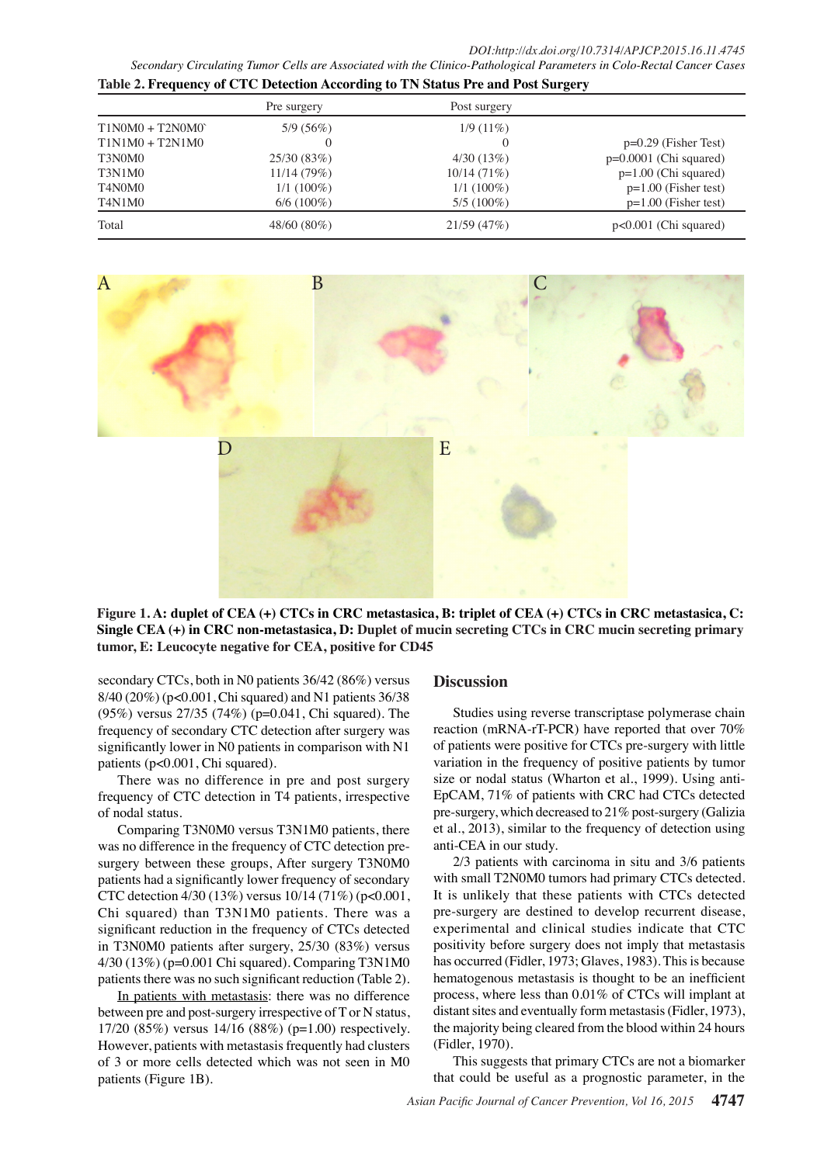*DOI:http://dx.doi.org/10.7314/APJCP.2015.16.11.4745 Secondary Circulating Tumor Cells are Associated with the Clinico-Pathological Parameters in Colo-Rectal Cancer Cases*

| Table 2. Frequency of CTC Detection According to TN Status Pre and Post Surgery |               |              |                          |  |
|---------------------------------------------------------------------------------|---------------|--------------|--------------------------|--|
|                                                                                 | Pre surgery   | Post surgery |                          |  |
| $T1N0M0 + T2N0M0$                                                               | 5/9(56%)      | $1/9(11\%)$  |                          |  |
| $T1N1M0 + T2N1M0$                                                               | $\theta$      | $\theta$     | $p=0.29$ (Fisher Test)   |  |
| T3N0M0                                                                          | 25/30 (83%)   | 4/30(13%)    | $p=0.0001$ (Chi squared) |  |
| T3N1M0                                                                          | 11/14(79%)    | 10/14(71%)   | $p=1.00$ (Chi squared)   |  |
| T4N0M0                                                                          | $1/1(100\%)$  | $1/1(100\%)$ | $p=1.00$ (Fisher test)   |  |
| T4N1M0                                                                          | $6/6(100\%)$  | $5/5(100\%)$ | $p=1.00$ (Fisher test)   |  |
| Total                                                                           | $48/60(80\%)$ | 21/59(47%)   | $p<0.001$ (Chi squared)  |  |



**Figure 1. A: duplet of CEA (+) CTCs in CRC metastasica, B: triplet of CEA (+) CTCs in CRC metastasica, C: Single CEA (+) in CRC non-metastasica, D: Duplet of mucin secreting CTCs in CRC mucin secreting primary tumor, E: Leucocyte negative for CEA, positive for CD45**

secondary CTCs, both in N0 patients 36/42 (86%) versus 8/40 (20%) (p<0.001, Chi squared) and N1 patients 36/38 (95%) versus 27/35 (74%) (p=0.041, Chi squared). The frequency of secondary CTC detection after surgery was significantly lower in N0 patients in comparison with N1 patients (p<0.001, Chi squared).

There was no difference in pre and post surgery frequency of CTC detection in T4 patients, irrespective of nodal status.

Comparing T3N0M0 versus T3N1M0 patients, there was no difference in the frequency of CTC detection presurgery between these groups, After surgery T3N0M0 patients had a significantly lower frequency of secondary CTC detection 4/30 (13%) versus 10/14 (71%) (p<0.001, Chi squared) than T3N1M0 patients. There was a significant reduction in the frequency of CTCs detected in T3N0M0 patients after surgery, 25/30 (83%) versus 4/30 (13%) (p=0.001 Chi squared). Comparing T3N1M0 patients there was no such significant reduction (Table 2).

In patients with metastasis: there was no difference between pre and post-surgery irrespective of T or N status, 17/20 (85%) versus 14/16 (88%) (p=1.00) respectively. However, patients with metastasis frequently had clusters of 3 or more cells detected which was not seen in M0 patients (Figure 1B).

#### **Discussion**

Studies using reverse transcriptase polymerase chain reaction (mRNA-rT-PCR) have reported that over 70% of patients were positive for CTCs pre-surgery with little variation in the frequency of positive patients by tumor size or nodal status (Wharton et al., 1999). Using anti-EpCAM, 71% of patients with CRC had CTCs detected pre-surgery, which decreased to 21% post-surgery (Galizia et al., 2013), similar to the frequency of detection using anti-CEA in our study.

2/3 patients with carcinoma in situ and 3/6 patients with small T2N0M0 tumors had primary CTCs detected. It is unlikely that these patients with CTCs detected pre-surgery are destined to develop recurrent disease, experimental and clinical studies indicate that CTC positivity before surgery does not imply that metastasis has occurred (Fidler, 1973; Glaves, 1983). This is because hematogenous metastasis is thought to be an inefficient process, where less than 0.01% of CTCs will implant at distant sites and eventually form metastasis (Fidler, 1973), the majority being cleared from the blood within 24 hours (Fidler, 1970).

This suggests that primary CTCs are not a biomarker that could be useful as a prognostic parameter, in the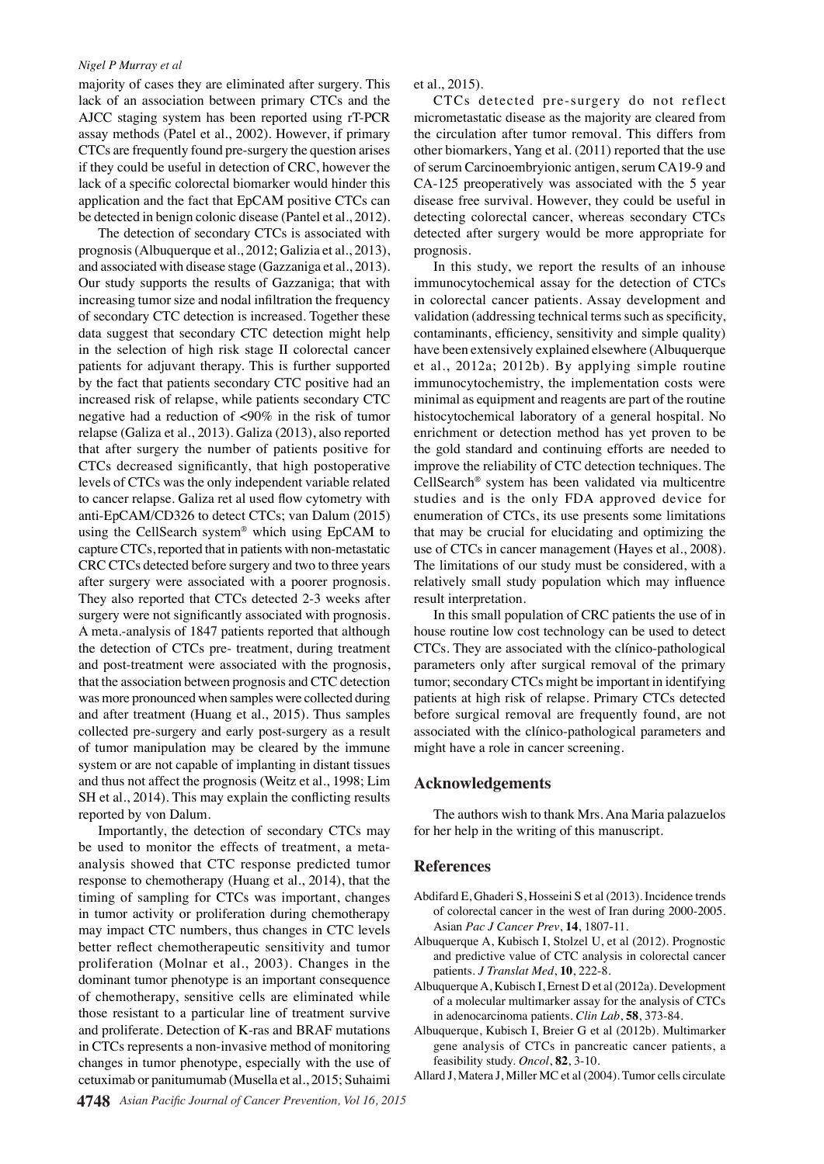#### *Nigel P Murray et al*

majority of cases they are eliminated after surgery. This lack of an association between primary CTCs and the AJCC staging system has been reported using rT-PCR assay methods (Patel et al., 2002). However, if primary CTCs are frequently found pre-surgery the question arises if they could be useful in detection of CRC, however the lack of a specific colorectal biomarker would hinder this application and the fact that EpCAM positive CTCs can be detected in benign colonic disease (Pantel et al., 2012).

The detection of secondary CTCs is associated with prognosis (Albuquerque et al., 2012; Galizia et al., 2013), and associated with disease stage (Gazzaniga et al., 2013). Our study supports the results of Gazzaniga; that with increasing tumor size and nodal infiltration the frequency of secondary CTC detection is increased. Together these data suggest that secondary CTC detection might help in the selection of high risk stage II colorectal cancer patients for adjuvant therapy. This is further supported by the fact that patients secondary CTC positive had an increased risk of relapse, while patients secondary CTC negative had a reduction of <90% in the risk of tumor relapse (Galiza et al., 2013). Galiza (2013), also reported that after surgery the number of patients positive for CTCs decreased significantly, that high postoperative levels of CTCs was the only independent variable related to cancer relapse. Galiza ret al used flow cytometry with anti-EpCAM/CD326 to detect CTCs; van Dalum (2015) using the CellSearch system® which using EpCAM to capture CTCs, reported that in patients with non-metastatic CRC CTCs detected before surgery and two to three years after surgery were associated with a poorer prognosis. They also reported that CTCs detected 2-3 weeks after surgery were not significantly associated with prognosis. A meta.-analysis of 1847 patients reported that although the detection of CTCs pre- treatment, during treatment and post-treatment were associated with the prognosis, that the association between prognosis and CTC detection was more pronounced when samples were collected during and after treatment (Huang et al., 2015). Thus samples collected pre-surgery and early post-surgery as a result of tumor manipulation may be cleared by the immune system or are not capable of implanting in distant tissues and thus not affect the prognosis (Weitz et al., 1998; Lim SH et al., 2014). This may explain the conflicting results reported by von Dalum.

Importantly, the detection of secondary CTCs may be used to monitor the effects of treatment, a metaanalysis showed that CTC response predicted tumor response to chemotherapy (Huang et al., 2014), that the timing of sampling for CTCs was important, changes in tumor activity or proliferation during chemotherapy may impact CTC numbers, thus changes in CTC levels better reflect chemotherapeutic sensitivity and tumor proliferation (Molnar et al., 2003). Changes in the dominant tumor phenotype is an important consequence of chemotherapy, sensitive cells are eliminated while those resistant to a particular line of treatment survive and proliferate. Detection of K-ras and BRAF mutations in CTCs represents a non-invasive method of monitoring changes in tumor phenotype, especially with the use of cetuximab or panitumumab (Musella et al., 2015; Suhaimi

et al., 2015).

CTCs detected pre-surgery do not reflect micrometastatic disease as the majority are cleared from the circulation after tumor removal. This differs from other biomarkers, Yang et al. (2011) reported that the use of serum Carcinoembryionic antigen, serum CA19-9 and CA-125 preoperatively was associated with the 5 year disease free survival. However, they could be useful in detecting colorectal cancer, whereas secondary CTCs detected after surgery would be more appropriate for prognosis.

In this study, we report the results of an inhouse immunocytochemical assay for the detection of CTCs in colorectal cancer patients. Assay development and validation (addressing technical terms such as specificity, contaminants, efficiency, sensitivity and simple quality) have been extensively explained elsewhere (Albuquerque et al., 2012a; 2012b). By applying simple routine immunocytochemistry, the implementation costs were minimal as equipment and reagents are part of the routine histocytochemical laboratory of a general hospital. No enrichment or detection method has yet proven to be the gold standard and continuing efforts are needed to improve the reliability of CTC detection techniques. The CellSearch® system has been validated via multicentre studies and is the only FDA approved device for enumeration of CTCs, its use presents some limitations that may be crucial for elucidating and optimizing the use of CTCs in cancer management (Hayes et al., 2008). The limitations of our study must be considered, with a relatively small study population which may influence result interpretation.

In this small population of CRC patients the use of in house routine low cost technology can be used to detect CTCs. They are associated with the clínico-pathological parameters only after surgical removal of the primary tumor; secondary CTCs might be important in identifying patients at high risk of relapse. Primary CTCs detected before surgical removal are frequently found, are not associated with the clínico-pathological parameters and might have a role in cancer screening.

### **Acknowledgements**

The authors wish to thank Mrs. Ana Maria palazuelos for her help in the writing of this manuscript.

#### **References**

- Abdifard E, Ghaderi S, Hosseini S et al (2013). Incidence trends of colorectal cancer in the west of Iran during 2000-2005. Asian *Pac J Cancer Prev*, **14**, 1807-11.
- Albuquerque A, Kubisch I, Stolzel U, et al (2012). Prognostic and predictive value of CTC analysis in colorectal cancer patients. *J Translat Med*, **10**, 222-8.
- Albuquerque A, Kubisch I, Ernest D et al (2012a). Development of a molecular multimarker assay for the analysis of CTCs in adenocarcinoma patients. *Clin Lab*, **58**, 373-84.
- Albuquerque, Kubisch I, Breier G et al (2012b). Multimarker gene analysis of CTCs in pancreatic cancer patients, a feasibility study. *Oncol*, **82**, 3-10.
- Allard J, Matera J, Miller MC et al (2004). Tumor cells circulate